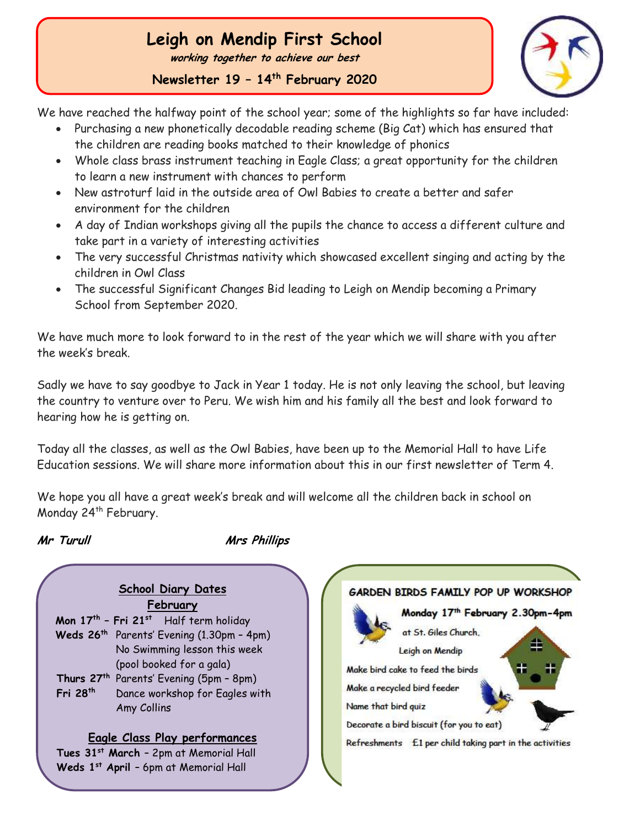## **Leigh on Mendip First School**

**working together to achieve our best**

**Newsletter 19 – 14th February 2020**



We have reached the halfway point of the school year; some of the highlights so far have included:

- Purchasing a new phonetically decodable reading scheme (Big Cat) which has ensured that the children are reading books matched to their knowledge of phonics
- Whole class brass instrument teaching in Eagle Class; a great opportunity for the children to learn a new instrument with chances to perform
- New astroturf laid in the outside area of Owl Babies to create a better and safer environment for the children
- A day of Indian workshops giving all the pupils the chance to access a different culture and take part in a variety of interesting activities
- The very successful Christmas nativity which showcased excellent singing and acting by the children in Owl Class
- The successful Significant Changes Bid leading to Leigh on Mendip becoming a Primary School from September 2020.

We have much more to look forward to in the rest of the year which we will share with you after the week's break.

Sadly we have to say goodbye to Jack in Year 1 today. He is not only leaving the school, but leaving the country to venture over to Peru. We wish him and his family all the best and look forward to hearing how he is getting on.

Today all the classes, as well as the Owl Babies, have been up to the Memorial Hall to have Life Education sessions. We will share more information about this in our first newsletter of Term 4.

We hope you all have a great week's break and will welcome all the children back in school on Monday 24<sup>th</sup> February.

 Ĩ

**Mr Turull Mrs Phillips**

**School Diary Dates February Mon 17th – Fri 21st** Half term holiday **Weds 26th** Parents' Evening (1.30pm – 4pm) No Swimming lesson this week (pool booked for a gala) **Thurs 27th** Parents' Evening (5pm – 8pm) **Fri 28 th** Dance workshop for Eagles with Amy Collins **Eagle Class Play performances Tues 31st March** – 2pm at Memorial Hall **Weds 1st April** – 6pm at Memorial Hall